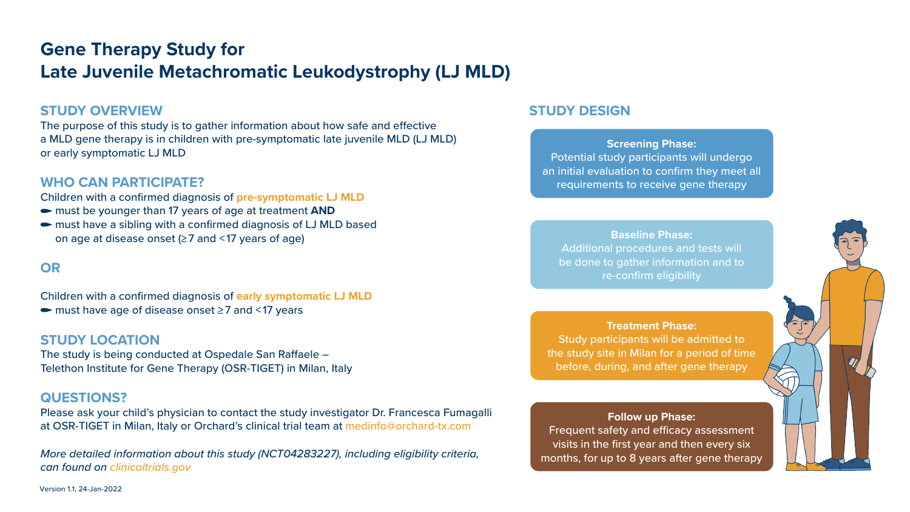# **Gene Therapy Study for Late Juvenile Metachromatic Leukodystrophy (LJ MLD)**

# **STUDY OVERVIEW**

The purpose of this study is to gather information about how safe and effective a MLD gene therapy is in children with pre-symptomatic late juvenile MLD (LJ MLD) or early symptomatic LJ MLD

## **WHO CAN PARTICIPATE?**

Children with a confirmed diagnosis of **pre-symptomatic LJ MLD** 

- must be younger than 17 years of age at treatment **AND**
- must have a sibling with a confirmed diagnosis of LJ MLD based on age at disease onset (≥ 7 and < 17 years of age)

# **OR**

Children with a confirmed diagnosis of **early symptomatic LJ MLD** 

must have age of disease onset ≥ 7 and < 17 years

#### **STUDY LOCATION**

The study is being conducted at Ospedale San Raffaele – Telethon Institute for Gene Therapy (OSR-TIGET) in Milan, Italy

#### **QUESTIONS?**

Please ask your child's physician to contact the study investigator Dr. Francesca Fumagalli at OSR-TIGET in Milan, Italy or Orchard's clinical trial team at medinfo@orchard-tx.com

*More detailed information about this study (NCT04283227), including eligibility criteria, can found on clinicaltrials.gov*

## **STUDY DESIGN**

**Screening Phase:**  Potential study participants will undergo an initial evaluation to confirm they meet all requirements to receive gene therapy

**Baseline Phase:** Additional procedures and tests will be done to gather information and to re-confirm eligibility

**Treatment Phase:**

Study participants will be admitted to the study site in Milan for a period of time before, during, and after gene therapy

**Follow up Phase:** Frequent safety and efficacy assessment visits in the first year and then every six months, for up to 8 years after gene therapy



Version 1.1, 24-Jan-2022